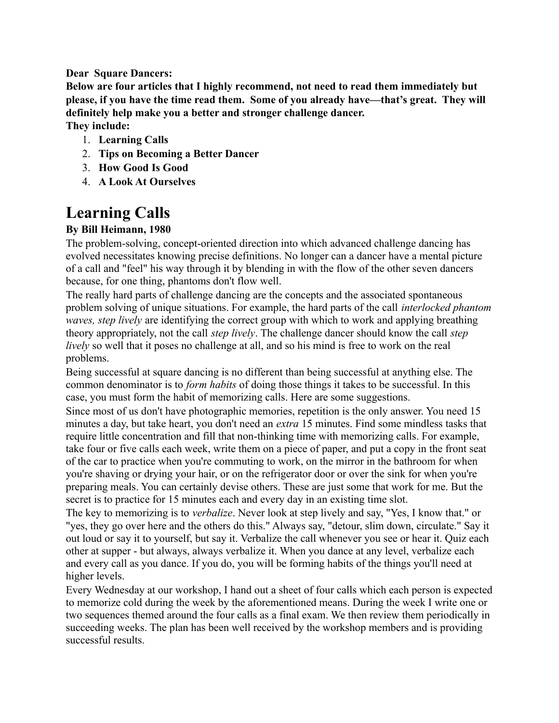**Dear Square Dancers:**

**Below are four articles that I highly recommend, not need to read them immediately but please, if you have the time read them. Some of you already have—that's great. They will definitely help make you a better and stronger challenge dancer.**

**They include:**

- 1. **Learning Calls**
- 2. **Tips on Becoming a Better Dancer**
- 3. **How Good Is Good**
- 4. **A Look At Ourselves**

## **Learning Calls**

#### **By Bill Heimann, 1980**

The problem-solving, concept-oriented direction into which advanced challenge dancing has evolved necessitates knowing precise definitions. No longer can a dancer have a mental picture of a call and "feel" his way through it by blending in with the flow of the other seven dancers because, for one thing, phantoms don't flow well.

The really hard parts of challenge dancing are the concepts and the associated spontaneous problem solving of unique situations. For example, the hard parts of the call *interlocked phantom waves, step lively* are identifying the correct group with which to work and applying breathing theory appropriately, not the call *step lively*. The challenge dancer should know the call *step lively* so well that it poses no challenge at all, and so his mind is free to work on the real problems.

Being successful at square dancing is no different than being successful at anything else. The common denominator is to *form habits* of doing those things it takes to be successful. In this case, you must form the habit of memorizing calls. Here are some suggestions.

Since most of us don't have photographic memories, repetition is the only answer. You need 15 minutes a day, but take heart, you don't need an *extra* 15 minutes. Find some mindless tasks that require little concentration and fill that non-thinking time with memorizing calls. For example, take four or five calls each week, write them on a piece of paper, and put a copy in the front seat of the car to practice when you're commuting to work, on the mirror in the bathroom for when you're shaving or drying your hair, or on the refrigerator door or over the sink for when you're preparing meals. You can certainly devise others. These are just some that work for me. But the secret is to practice for 15 minutes each and every day in an existing time slot.

The key to memorizing is to *verbalize*. Never look at step lively and say, "Yes, I know that." or "yes, they go over here and the others do this." Always say, "detour, slim down, circulate." Say it out loud or say it to yourself, but say it. Verbalize the call whenever you see or hear it. Quiz each other at supper - but always, always verbalize it. When you dance at any level, verbalize each and every call as you dance. If you do, you will be forming habits of the things you'll need at higher levels.

Every Wednesday at our workshop, I hand out a sheet of four calls which each person is expected to memorize cold during the week by the aforementioned means. During the week I write one or two sequences themed around the four calls as a final exam. We then review them periodically in succeeding weeks. The plan has been well received by the workshop members and is providing successful results.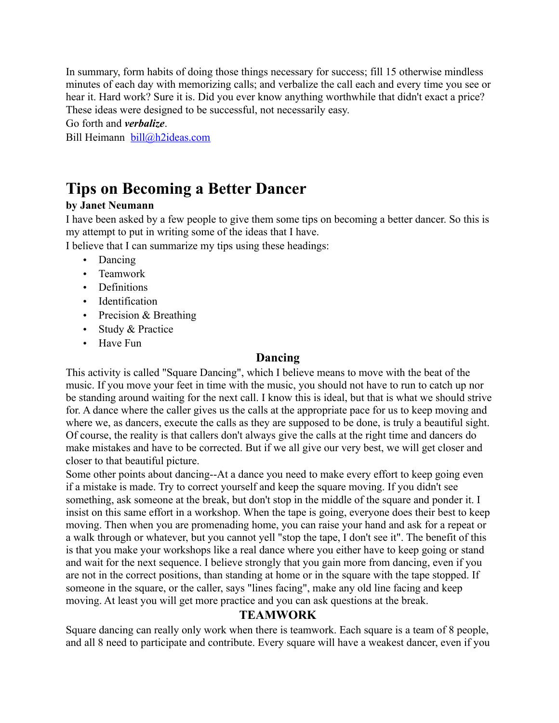In summary, form habits of doing those things necessary for success; fill 15 otherwise mindless minutes of each day with memorizing calls; and verbalize the call each and every time you see or hear it. Hard work? Sure it is. Did you ever know anything worthwhile that didn't exact a price? These ideas were designed to be successful, not necessarily easy.

Go forth and *verbalize*. Bill Heimann [bill@h2ideas.com](mailto:bill@h2ideas.com)

## **Tips on Becoming a Better Dancer**

### **by Janet Neumann**

I have been asked by a few people to give them some tips on becoming a better dancer. So this is my attempt to put in writing some of the ideas that I have.

I believe that I can summarize my tips using these headings:

- Dancing
- Teamwork
- Definitions
- Identification
- Precision & Breathing
- Study & Practice
- Have Fun

#### **Dancing**

This activity is called "Square Dancing", which I believe means to move with the beat of the music. If you move your feet in time with the music, you should not have to run to catch up nor be standing around waiting for the next call. I know this is ideal, but that is what we should strive for. A dance where the caller gives us the calls at the appropriate pace for us to keep moving and where we, as dancers, execute the calls as they are supposed to be done, is truly a beautiful sight. Of course, the reality is that callers don't always give the calls at the right time and dancers do make mistakes and have to be corrected. But if we all give our very best, we will get closer and closer to that beautiful picture.

Some other points about dancing--At a dance you need to make every effort to keep going even if a mistake is made. Try to correct yourself and keep the square moving. If you didn't see something, ask someone at the break, but don't stop in the middle of the square and ponder it. I insist on this same effort in a workshop. When the tape is going, everyone does their best to keep moving. Then when you are promenading home, you can raise your hand and ask for a repeat or a walk through or whatever, but you cannot yell "stop the tape, I don't see it". The benefit of this is that you make your workshops like a real dance where you either have to keep going or stand and wait for the next sequence. I believe strongly that you gain more from dancing, even if you are not in the correct positions, than standing at home or in the square with the tape stopped. If someone in the square, or the caller, says "lines facing", make any old line facing and keep moving. At least you will get more practice and you can ask questions at the break.

### **TEAMWORK**

Square dancing can really only work when there is teamwork. Each square is a team of 8 people, and all 8 need to participate and contribute. Every square will have a weakest dancer, even if you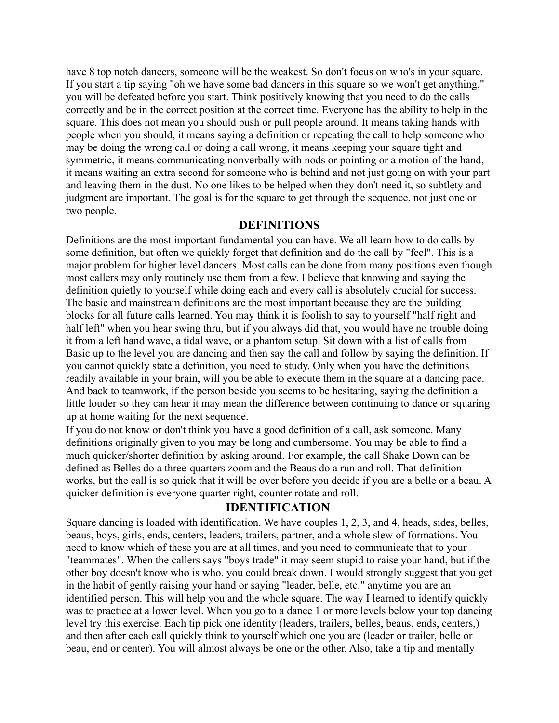have 8 top notch dancers, someone will be the weakest. So don't focus on who's in your square. If you start a tip saying "oh we have some bad dancers in this square so we won't get anything," you will be defeated before you start. Think positively knowing that you need to do the calls correctly and be in the correct position at the correct time. Everyone has the ability to help in the square. This does not mean you should push or pull people around. It means taking hands with people when you should, it means saying a definition or repeating the call to help someone who may be doing the wrong call or doing a call wrong, it means keeping your square tight and symmetric, it means communicating nonverbally with nods or pointing or a motion of the hand, it means waiting an extra second for someone who is behind and not just going on with your part and leaving them in the dust. No one likes to be helped when they don't need it, so subtlety and judgment are important. The goal is for the square to get through the sequence, not just one or two people.

#### **DEFINITIONS**

Definitions are the most important fundamental you can have. We all learn how to do calls by some definition, but often we quickly forget that definition and do the call by "feel". This is a major problem for higher level dancers. Most calls can be done from many positions even though most callers may only routinely use them from a few. I believe that knowing and saying the definition quietly to yourself while doing each and every call is absolutely crucial for success. The basic and mainstream definitions are the most important because they are the building blocks for all future calls learned. You may think it is foolish to say to yourself "half right and half left" when you hear swing thru, but if you always did that, you would have no trouble doing it from a left hand wave, a tidal wave, or a phantom setup. Sit down with a list of calls from Basic up to the level you are dancing and then say the call and follow by saying the definition. If you cannot quickly state a definition, you need to study. Only when you have the definitions readily available in your brain, will you be able to execute them in the square at a dancing pace. And back to teamwork, if the person beside you seems to be hesitating, saying the definition a little louder so they can hear it may mean the difference between continuing to dance or squaring up at home waiting for the next sequence.

If you do not know or don't think you have a good definition of a call, ask someone. Many definitions originally given to you may be long and cumbersome. You may be able to find a much quicker/shorter definition by asking around. For example, the call Shake Down can be defined as Belles do a three-quarters zoom and the Beaus do a run and roll. That definition works, but the call is so quick that it will be over before you decide if you are a belle or a beau. A quicker definition is everyone quarter right, counter rotate and roll.

#### **IDENTIFICATION**

Square dancing is loaded with identification. We have couples 1, 2, 3, and 4, heads, sides, belles, beaus, boys, girls, ends, centers, leaders, trailers, partner, and a whole slew of formations. You need to know which of these you are at all times, and you need to communicate that to your "teammates". When the callers says "boys trade" it may seem stupid to raise your hand, but if the other boy doesn't know who is who, you could break down. I would strongly suggest that you get in the habit of gently raising your hand or saying "leader, belle, etc." anytime you are an identified person. This will help you and the whole square. The way I learned to identify quickly was to practice at a lower level. When you go to a dance 1 or more levels below your top dancing level try this exercise. Each tip pick one identity (leaders, trailers, belles, beaus, ends, centers,) and then after each call quickly think to yourself which one you are (leader or trailer, belle or beau, end or center). You will almost always be one or the other. Also, take a tip and mentally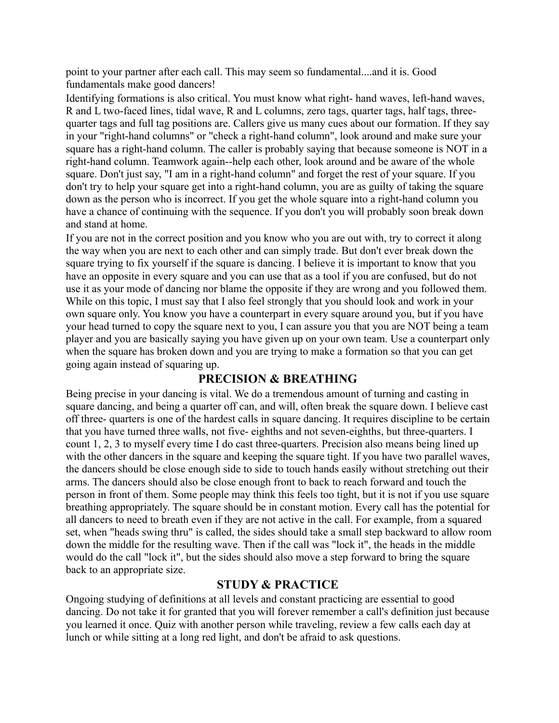point to your partner after each call. This may seem so fundamental....and it is. Good fundamentals make good dancers!

Identifying formations is also critical. You must know what right- hand waves, left-hand waves, R and L two-faced lines, tidal wave, R and L columns, zero tags, quarter tags, half tags, threequarter tags and full tag positions are. Callers give us many cues about our formation. If they say in your "right-hand columns" or "check a right-hand column", look around and make sure your square has a right-hand column. The caller is probably saying that because someone is NOT in a right-hand column. Teamwork again--help each other, look around and be aware of the whole square. Don't just say, "I am in a right-hand column" and forget the rest of your square. If you don't try to help your square get into a right-hand column, you are as guilty of taking the square down as the person who is incorrect. If you get the whole square into a right-hand column you have a chance of continuing with the sequence. If you don't you will probably soon break down and stand at home.

If you are not in the correct position and you know who you are out with, try to correct it along the way when you are next to each other and can simply trade. But don't ever break down the square trying to fix yourself if the square is dancing. I believe it is important to know that you have an opposite in every square and you can use that as a tool if you are confused, but do not use it as your mode of dancing nor blame the opposite if they are wrong and you followed them. While on this topic, I must say that I also feel strongly that you should look and work in your own square only. You know you have a counterpart in every square around you, but if you have your head turned to copy the square next to you, I can assure you that you are NOT being a team player and you are basically saying you have given up on your own team. Use a counterpart only when the square has broken down and you are trying to make a formation so that you can get going again instead of squaring up.

### **PRECISION & BREATHING**

Being precise in your dancing is vital. We do a tremendous amount of turning and casting in square dancing, and being a quarter off can, and will, often break the square down. I believe cast off three- quarters is one of the hardest calls in square dancing. It requires discipline to be certain that you have turned three walls, not five- eighths and not seven-eighths, but three-quarters. I count 1, 2, 3 to myself every time I do cast three-quarters. Precision also means being lined up with the other dancers in the square and keeping the square tight. If you have two parallel waves, the dancers should be close enough side to side to touch hands easily without stretching out their arms. The dancers should also be close enough front to back to reach forward and touch the person in front of them. Some people may think this feels too tight, but it is not if you use square breathing appropriately. The square should be in constant motion. Every call has the potential for all dancers to need to breath even if they are not active in the call. For example, from a squared set, when "heads swing thru" is called, the sides should take a small step backward to allow room down the middle for the resulting wave. Then if the call was "lock it", the heads in the middle would do the call "lock it", but the sides should also move a step forward to bring the square back to an appropriate size.

## **STUDY & PRACTICE**

Ongoing studying of definitions at all levels and constant practicing are essential to good dancing. Do not take it for granted that you will forever remember a call's definition just because you learned it once. Quiz with another person while traveling, review a few calls each day at lunch or while sitting at a long red light, and don't be afraid to ask questions.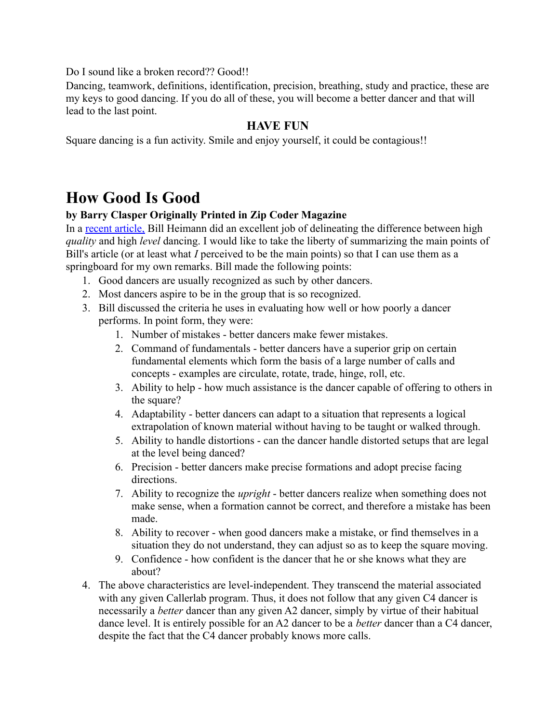Do I sound like a broken record?? Good!!

Dancing, teamwork, definitions, identification, precision, breathing, study and practice, these are my keys to good dancing. If you do all of these, you will become a better dancer and that will lead to the last point.

### **HAVE FUN**

Square dancing is a fun activity. Smile and enjoy yourself, it could be contagious!!

## **How Good Is Good**

### **by Barry Clasper Originally Printed in Zip Coder Magazine**

In a [recent article,](http://www.lynette.org/lookours.html) Bill Heimann did an excellent job of delineating the difference between high *quality* and high *level* dancing. I would like to take the liberty of summarizing the main points of Bill's article (or at least what *I* perceived to be the main points) so that I can use them as a springboard for my own remarks. Bill made the following points:

- 1. Good dancers are usually recognized as such by other dancers.
- 2. Most dancers aspire to be in the group that is so recognized.
- 3. Bill discussed the criteria he uses in evaluating how well or how poorly a dancer performs. In point form, they were:
	- 1. Number of mistakes better dancers make fewer mistakes.
	- 2. Command of fundamentals better dancers have a superior grip on certain fundamental elements which form the basis of a large number of calls and concepts - examples are circulate, rotate, trade, hinge, roll, etc.
	- 3. Ability to help how much assistance is the dancer capable of offering to others in the square?
	- 4. Adaptability better dancers can adapt to a situation that represents a logical extrapolation of known material without having to be taught or walked through.
	- 5. Ability to handle distortions can the dancer handle distorted setups that are legal at the level being danced?
	- 6. Precision better dancers make precise formations and adopt precise facing directions.
	- 7. Ability to recognize the *upright* better dancers realize when something does not make sense, when a formation cannot be correct, and therefore a mistake has been made.
	- 8. Ability to recover when good dancers make a mistake, or find themselves in a situation they do not understand, they can adjust so as to keep the square moving.
	- 9. Confidence how confident is the dancer that he or she knows what they are about?
- 4. The above characteristics are level-independent. They transcend the material associated with any given Callerlab program. Thus, it does not follow that any given C4 dancer is necessarily a *better* dancer than any given A2 dancer, simply by virtue of their habitual dance level. It is entirely possible for an A2 dancer to be a *better* dancer than a C4 dancer, despite the fact that the C4 dancer probably knows more calls.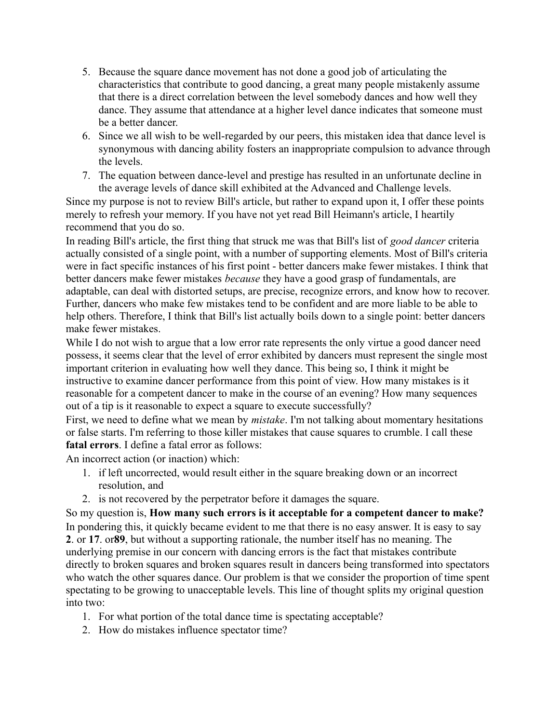- 5. Because the square dance movement has not done a good job of articulating the characteristics that contribute to good dancing, a great many people mistakenly assume that there is a direct correlation between the level somebody dances and how well they dance. They assume that attendance at a higher level dance indicates that someone must be a better dancer.
- 6. Since we all wish to be well-regarded by our peers, this mistaken idea that dance level is synonymous with dancing ability fosters an inappropriate compulsion to advance through the levels.
- 7. The equation between dance-level and prestige has resulted in an unfortunate decline in the average levels of dance skill exhibited at the Advanced and Challenge levels.

Since my purpose is not to review Bill's article, but rather to expand upon it, I offer these points merely to refresh your memory. If you have not yet read Bill Heimann's article, I heartily recommend that you do so.

In reading Bill's article, the first thing that struck me was that Bill's list of *good dancer* criteria actually consisted of a single point, with a number of supporting elements. Most of Bill's criteria were in fact specific instances of his first point - better dancers make fewer mistakes. I think that better dancers make fewer mistakes *because* they have a good grasp of fundamentals, are adaptable, can deal with distorted setups, are precise, recognize errors, and know how to recover. Further, dancers who make few mistakes tend to be confident and are more liable to be able to help others. Therefore, I think that Bill's list actually boils down to a single point: better dancers make fewer mistakes.

While I do not wish to argue that a low error rate represents the only virtue a good dancer need possess, it seems clear that the level of error exhibited by dancers must represent the single most important criterion in evaluating how well they dance. This being so, I think it might be instructive to examine dancer performance from this point of view. How many mistakes is it reasonable for a competent dancer to make in the course of an evening? How many sequences out of a tip is it reasonable to expect a square to execute successfully?

First, we need to define what we mean by *mistake*. I'm not talking about momentary hesitations or false starts. I'm referring to those killer mistakes that cause squares to crumble. I call these **fatal errors**. I define a fatal error as follows:

An incorrect action (or inaction) which:

- 1. if left uncorrected, would result either in the square breaking down or an incorrect resolution, and
- 2. is not recovered by the perpetrator before it damages the square.

So my question is, **How many such errors is it acceptable for a competent dancer to make?** In pondering this, it quickly became evident to me that there is no easy answer. It is easy to say **2**. or **17**. or**89**, but without a supporting rationale, the number itself has no meaning. The underlying premise in our concern with dancing errors is the fact that mistakes contribute directly to broken squares and broken squares result in dancers being transformed into spectators who watch the other squares dance. Our problem is that we consider the proportion of time spent spectating to be growing to unacceptable levels. This line of thought splits my original question into two:

- 1. For what portion of the total dance time is spectating acceptable?
- 2. How do mistakes influence spectator time?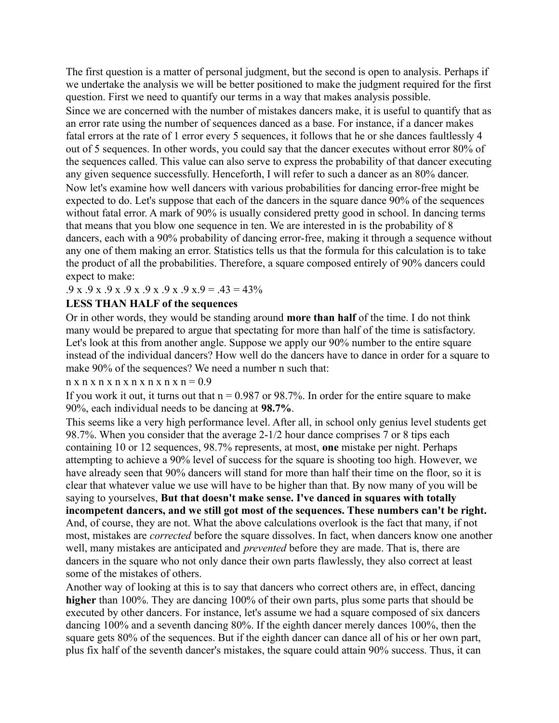The first question is a matter of personal judgment, but the second is open to analysis. Perhaps if we undertake the analysis we will be better positioned to make the judgment required for the first question. First we need to quantify our terms in a way that makes analysis possible.

Since we are concerned with the number of mistakes dancers make, it is useful to quantify that as an error rate using the number of sequences danced as a base. For instance, if a dancer makes fatal errors at the rate of 1 error every 5 sequences, it follows that he or she dances faultlessly 4 out of 5 sequences. In other words, you could say that the dancer executes without error 80% of the sequences called. This value can also serve to express the probability of that dancer executing any given sequence successfully. Henceforth, I will refer to such a dancer as an 80% dancer.

Now let's examine how well dancers with various probabilities for dancing error-free might be expected to do. Let's suppose that each of the dancers in the square dance 90% of the sequences without fatal error. A mark of 90% is usually considered pretty good in school. In dancing terms that means that you blow one sequence in ten. We are interested in is the probability of 8 dancers, each with a 90% probability of dancing error-free, making it through a sequence without any one of them making an error. Statistics tells us that the formula for this calculation is to take the product of all the probabilities. Therefore, a square composed entirely of 90% dancers could expect to make:

#### $.9 x .9 x .9 x .9 x .9 x .9 x .9 x .9 x .9 x .9 = .43 = 43\%$

#### **LESS THAN HALF of the sequences**

Or in other words, they would be standing around **more than half** of the time. I do not think many would be prepared to argue that spectating for more than half of the time is satisfactory. Let's look at this from another angle. Suppose we apply our 90% number to the entire square instead of the individual dancers? How well do the dancers have to dance in order for a square to make 90% of the sequences? We need a number n such that:

#### $n \times n \times n \times n \times n \times n \times n = 0.9$

If you work it out, it turns out that  $n = 0.987$  or 98.7%. In order for the entire square to make 90%, each individual needs to be dancing at **98.7%**.

This seems like a very high performance level. After all, in school only genius level students get 98.7%. When you consider that the average 2-1/2 hour dance comprises 7 or 8 tips each containing 10 or 12 sequences, 98.7% represents, at most, **one** mistake per night. Perhaps attempting to achieve a 90% level of success for the square is shooting too high. However, we have already seen that 90% dancers will stand for more than half their time on the floor, so it is clear that whatever value we use will have to be higher than that. By now many of you will be saying to yourselves, **But that doesn't make sense. I've danced in squares with totally incompetent dancers, and we still got most of the sequences. These numbers can't be right.** And, of course, they are not. What the above calculations overlook is the fact that many, if not most, mistakes are *corrected* before the square dissolves. In fact, when dancers know one another well, many mistakes are anticipated and *prevented* before they are made. That is, there are dancers in the square who not only dance their own parts flawlessly, they also correct at least some of the mistakes of others.

Another way of looking at this is to say that dancers who correct others are, in effect, dancing **higher** than 100%. They are dancing 100% of their own parts, plus some parts that should be executed by other dancers. For instance, let's assume we had a square composed of six dancers dancing 100% and a seventh dancing 80%. If the eighth dancer merely dances 100%, then the square gets 80% of the sequences. But if the eighth dancer can dance all of his or her own part, plus fix half of the seventh dancer's mistakes, the square could attain 90% success. Thus, it can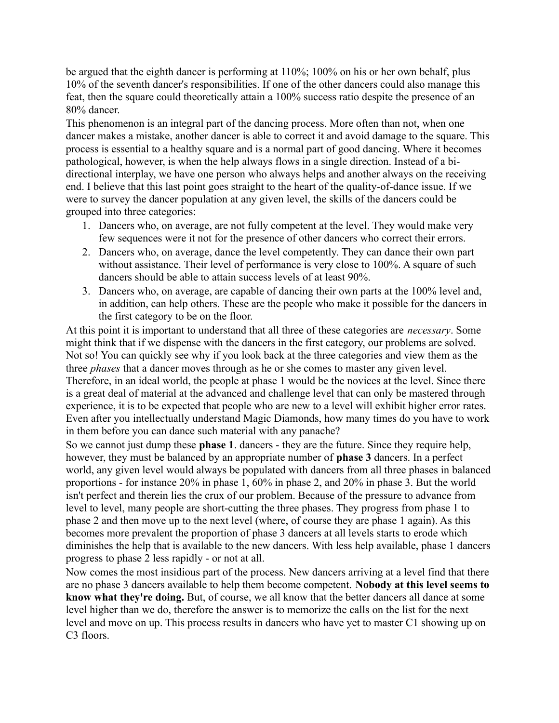be argued that the eighth dancer is performing at 110%; 100% on his or her own behalf, plus 10% of the seventh dancer's responsibilities. If one of the other dancers could also manage this feat, then the square could theoretically attain a 100% success ratio despite the presence of an 80% dancer.

This phenomenon is an integral part of the dancing process. More often than not, when one dancer makes a mistake, another dancer is able to correct it and avoid damage to the square. This process is essential to a healthy square and is a normal part of good dancing. Where it becomes pathological, however, is when the help always flows in a single direction. Instead of a bidirectional interplay, we have one person who always helps and another always on the receiving end. I believe that this last point goes straight to the heart of the quality-of-dance issue. If we were to survey the dancer population at any given level, the skills of the dancers could be grouped into three categories:

- 1. Dancers who, on average, are not fully competent at the level. They would make very few sequences were it not for the presence of other dancers who correct their errors.
- 2. Dancers who, on average, dance the level competently. They can dance their own part without assistance. Their level of performance is very close to 100%. A square of such dancers should be able to attain success levels of at least 90%.
- 3. Dancers who, on average, are capable of dancing their own parts at the 100% level and, in addition, can help others. These are the people who make it possible for the dancers in the first category to be on the floor.

At this point it is important to understand that all three of these categories are *necessary*. Some might think that if we dispense with the dancers in the first category, our problems are solved. Not so! You can quickly see why if you look back at the three categories and view them as the three *phases* that a dancer moves through as he or she comes to master any given level. Therefore, in an ideal world, the people at phase 1 would be the novices at the level. Since there is a great deal of material at the advanced and challenge level that can only be mastered through experience, it is to be expected that people who are new to a level will exhibit higher error rates. Even after you intellectually understand Magic Diamonds, how many times do you have to work in them before you can dance such material with any panache?

So we cannot just dump these **phase 1**. dancers - they are the future. Since they require help, however, they must be balanced by an appropriate number of **phase 3** dancers. In a perfect world, any given level would always be populated with dancers from all three phases in balanced proportions - for instance 20% in phase 1, 60% in phase 2, and 20% in phase 3. But the world isn't perfect and therein lies the crux of our problem. Because of the pressure to advance from level to level, many people are short-cutting the three phases. They progress from phase 1 to phase 2 and then move up to the next level (where, of course they are phase 1 again). As this becomes more prevalent the proportion of phase 3 dancers at all levels starts to erode which diminishes the help that is available to the new dancers. With less help available, phase 1 dancers progress to phase 2 less rapidly - or not at all.

Now comes the most insidious part of the process. New dancers arriving at a level find that there are no phase 3 dancers available to help them become competent. **Nobody at this level seems to know what they're doing.** But, of course, we all know that the better dancers all dance at some level higher than we do, therefore the answer is to memorize the calls on the list for the next level and move on up. This process results in dancers who have yet to master C1 showing up on C<sub>3</sub> floors.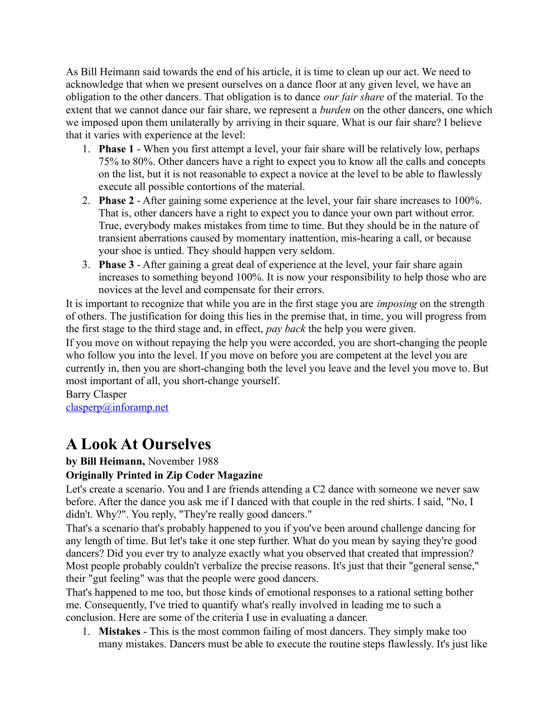As Bill Heimann said towards the end of his article, it is time to clean up our act. We need to acknowledge that when we present ourselves on a dance floor at any given level, we have an obligation to the other dancers. That obligation is to dance *our fair share* of the material. To the extent that we cannot dance our fair share, we represent a *burden* on the other dancers, one which we imposed upon them unilaterally by arriving in their square. What is our fair share? I believe that it varies with experience at the level:

- 1. **Phase 1** When you first attempt a level, your fair share will be relatively low, perhaps 75% to 80%. Other dancers have a right to expect you to know all the calls and concepts on the list, but it is not reasonable to expect a novice at the level to be able to flawlessly execute all possible contortions of the material.
- 2. **Phase 2** After gaining some experience at the level, your fair share increases to 100%. That is, other dancers have a right to expect you to dance your own part without error. True, everybody makes mistakes from time to time. But they should be in the nature of transient aberrations caused by momentary inattention, mis-hearing a call, or because your shoe is untied. They should happen very seldom.
- 3. **Phase 3** After gaining a great deal of experience at the level, your fair share again increases to something beyond 100%. It is now your responsibility to help those who are novices at the level and compensate for their errors.

It is important to recognize that while you are in the first stage you are *imposing* on the strength of others. The justification for doing this lies in the premise that, in time, you will progress from the first stage to the third stage and, in effect, *pay back* the help you were given.

If you move on without repaying the help you were accorded, you are short-changing the people who follow you into the level. If you move on before you are competent at the level you are currently in, then you are short-changing both the level you leave and the level you move to. But most important of all, you short-change yourself.

Barry Clasper [clasperp@inforamp.net](mailto:clasperp@inforamp.net)

# **A Look At Ourselves**

## **by Bill Heimann,** November 1988

## **Originally Printed in Zip Coder Magazine**

Let's create a scenario. You and I are friends attending a C2 dance with someone we never saw before. After the dance you ask me if I danced with that couple in the red shirts. I said, "No, I didn't. Why?". You reply, "They're really good dancers."

That's a scenario that's probably happened to you if you've been around challenge dancing for any length of time. But let's take it one step further. What do you mean by saying they're good dancers? Did you ever try to analyze exactly what you observed that created that impression? Most people probably couldn't verbalize the precise reasons. It's just that their "general sense," their "gut feeling" was that the people were good dancers.

That's happened to me too, but those kinds of emotional responses to a rational setting bother me. Consequently, I've tried to quantify what's really involved in leading me to such a conclusion. Here are some of the criteria I use in evaluating a dancer.

1. **Mistakes** - This is the most common failing of most dancers. They simply make too many mistakes. Dancers must be able to execute the routine steps flawlessly. It's just like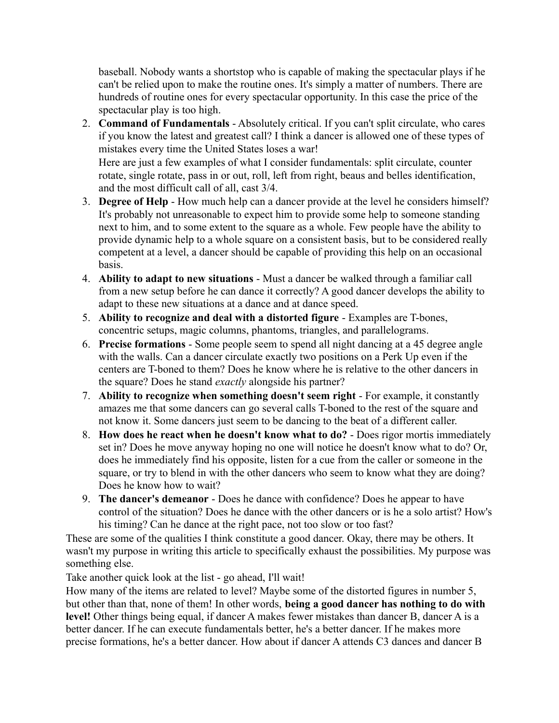baseball. Nobody wants a shortstop who is capable of making the spectacular plays if he can't be relied upon to make the routine ones. It's simply a matter of numbers. There are hundreds of routine ones for every spectacular opportunity. In this case the price of the spectacular play is too high.

2. **Command of Fundamentals** - Absolutely critical. If you can't split circulate, who cares if you know the latest and greatest call? I think a dancer is allowed one of these types of mistakes every time the United States loses a war! Here are just a few examples of what I consider fundamentals: split circulate, counter

rotate, single rotate, pass in or out, roll, left from right, beaus and belles identification, and the most difficult call of all, cast 3/4.

- 3. **Degree of Help** How much help can a dancer provide at the level he considers himself? It's probably not unreasonable to expect him to provide some help to someone standing next to him, and to some extent to the square as a whole. Few people have the ability to provide dynamic help to a whole square on a consistent basis, but to be considered really competent at a level, a dancer should be capable of providing this help on an occasional basis.
- 4. **Ability to adapt to new situations** Must a dancer be walked through a familiar call from a new setup before he can dance it correctly? A good dancer develops the ability to adapt to these new situations at a dance and at dance speed.
- 5. **Ability to recognize and deal with a distorted figure** Examples are T-bones, concentric setups, magic columns, phantoms, triangles, and parallelograms.
- 6. **Precise formations** Some people seem to spend all night dancing at a 45 degree angle with the walls. Can a dancer circulate exactly two positions on a Perk Up even if the centers are T-boned to them? Does he know where he is relative to the other dancers in the square? Does he stand *exactly* alongside his partner?
- 7. **Ability to recognize when something doesn't seem right** For example, it constantly amazes me that some dancers can go several calls T-boned to the rest of the square and not know it. Some dancers just seem to be dancing to the beat of a different caller.
- 8. **How does he react when he doesn't know what to do?** Does rigor mortis immediately set in? Does he move anyway hoping no one will notice he doesn't know what to do? Or, does he immediately find his opposite, listen for a cue from the caller or someone in the square, or try to blend in with the other dancers who seem to know what they are doing? Does he know how to wait?
- 9. **The dancer's demeanor** Does he dance with confidence? Does he appear to have control of the situation? Does he dance with the other dancers or is he a solo artist? How's his timing? Can he dance at the right pace, not too slow or too fast?

These are some of the qualities I think constitute a good dancer. Okay, there may be others. It wasn't my purpose in writing this article to specifically exhaust the possibilities. My purpose was something else.

Take another quick look at the list - go ahead, I'll wait!

How many of the items are related to level? Maybe some of the distorted figures in number 5, but other than that, none of them! In other words, **being a good dancer has nothing to do with level!** Other things being equal, if dancer A makes fewer mistakes than dancer B, dancer A is a better dancer. If he can execute fundamentals better, he's a better dancer. If he makes more precise formations, he's a better dancer. How about if dancer A attends C3 dances and dancer B